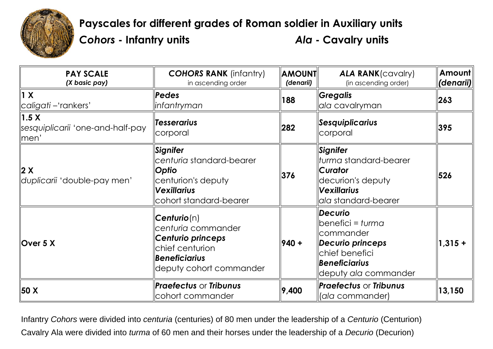

**Payscales for different grades of Roman soldier in Auxiliary units** *Cohors* **- Infantry units** *Ala* **- Cavalry units**

| <b>PAY SCALE</b><br>(X basic pay)                                         | <b>COHORS RANK (infantry)</b><br>in ascending order                                                                                                     | <b>AMOUNT</b><br>(denarii) | <b>ALA RANK</b> (cavalry)<br>(in ascending order)                                                                                                          | Amount<br>(denarii) |
|---------------------------------------------------------------------------|---------------------------------------------------------------------------------------------------------------------------------------------------------|----------------------------|------------------------------------------------------------------------------------------------------------------------------------------------------------|---------------------|
| 1 X <br>  caligati –'rankers'                                             | Pedes<br><b>linfantryman</b>                                                                                                                            | 188                        | <b>  Gregalis</b><br>ala cavalryman                                                                                                                        | 263                 |
| $\parallel$ 1.5 X<br>sesquiplicarii 'one-and-half-pay<br>$\parallel$ men' | <b>Tesserarius</b><br>corporal                                                                                                                          | 282                        | Sesquiplicarius<br>corporal                                                                                                                                | 395                 |
| 2 X<br>duplicarii 'double-pay men'                                        | Signifer<br>lcenturia standard-bearer<br>Optio<br>centurion's deputy<br><b>Vexillarius</b><br>cohort standard-bearer                                    | 376                        | Signifer<br>llturma standard-bearer<br><b>Curator</b><br>decurion's deputy<br><i><b>Nexillarius</b></i><br>ala standard-bearer                             | 526                 |
| Over $5 X$                                                                | $\mathsf{Centurio}(\mathsf{n})$<br>centuria commander<br><b>Centurio princeps</b><br>chief centurion<br><b>Beneficiarius</b><br>deputy cohort commander | $940 +$                    | <i><b>Decurio</b></i><br>$\parallel$ benefici = turma<br>llcommander<br>Decurio princeps<br>chief benefici<br><b>Beneficiarius</b><br>deputy ala commander | $1,315 +$           |
| <b>50 X</b>                                                               | <b>Praefectus or Tribunus</b><br>cohort commander                                                                                                       | 9,400                      | <b>Praefectus or Tribunus</b><br>  (ala commander)                                                                                                         | 13,150              |

Infantry *Cohors* were divided into *centuria* (centuries) of 80 men under the leadership of a *Centurio* (Centurion) Cavalry Ala were divided into *turma* of 60 men and their horses under the leadership of a *Decurio* (Decurion)